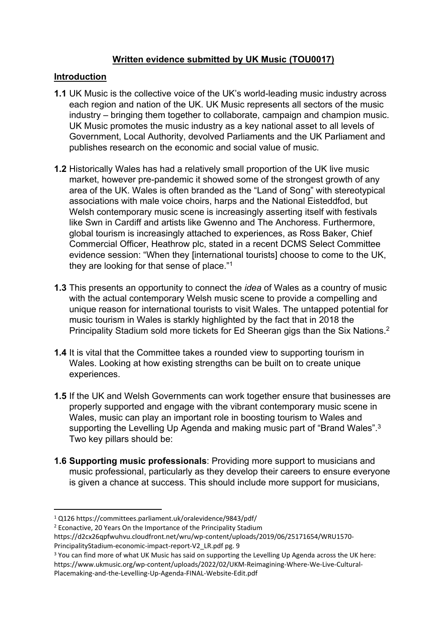### **Written evidence submitted by UK Music (TOU0017)**

#### **Introduction**

- **1.1** UK Music is the collective voice of the UK's world-leading music industry across each region and nation of the UK. UK Music represents all sectors of the music industry – bringing them together to collaborate, campaign and champion music. UK Music promotes the music industry as a key national asset to all levels of Government, Local Authority, devolved Parliaments and the UK Parliament and publishes research on the economic and social value of music.
- **1.2** Historically Wales has had a relatively small proportion of the UK live music market, however pre-pandemic it showed some of the strongest growth of any area of the UK. Wales is often branded as the "Land of Song" with stereotypical associations with male voice choirs, harps and the National Eisteddfod, but Welsh contemporary music scene is increasingly asserting itself with festivals like Swn in Cardiff and artists like Gwenno and The Anchoress. Furthermore, global tourism is increasingly attached to experiences, as Ross Baker, Chief Commercial Officer, Heathrow plc, stated in a recent DCMS Select Committee evidence session: "When they [international tourists] choose to come to the UK, they are looking for that sense of place."<sup>1</sup>
- **1.3** This presents an opportunity to connect the *idea* of Wales as a country of music with the actual contemporary Welsh music scene to provide a compelling and unique reason for international tourists to visit Wales. The untapped potential for music tourism in Wales is starkly highlighted by the fact that in 2018 the Principality Stadium sold more tickets for Ed Sheeran gigs than the Six Nations.<sup>2</sup>
- **1.4** It is vital that the Committee takes a rounded view to supporting tourism in Wales. Looking at how existing strengths can be built on to create unique experiences.
- **1.5** If the UK and Welsh Governments can work together ensure that businesses are properly supported and engage with the vibrant contemporary music scene in Wales, music can play an important role in boosting tourism to Wales and supporting the Levelling Up Agenda and making music part of "Brand Wales".<sup>3</sup> Two key pillars should be:
- **1.6 Supporting music professionals**: Providing more support to musicians and music professional, particularly as they develop their careers to ensure everyone is given a chance at success. This should include more support for musicians,

<sup>1</sup> Q126 https://committees.parliament.uk/oralevidence/9843/pdf/

<sup>2</sup> Econactive, 20 Years On the Importance of the Principality Stadium

https://d2cx26qpfwuhvu.cloudfront.net/wru/wp-content/uploads/2019/06/25171654/WRU1570- PrincipalityStadium-economic-impact-report-V2\_LR.pdf pg. 9

<sup>&</sup>lt;sup>3</sup> You can find more of what UK Music has said on supporting the Levelling Up Agenda across the UK here: https://www.ukmusic.org/wp-content/uploads/2022/02/UKM-Reimagining-Where-We-Live-Cultural-Placemaking-and-the-Levelling-Up-Agenda-FINAL-Website-Edit.pdf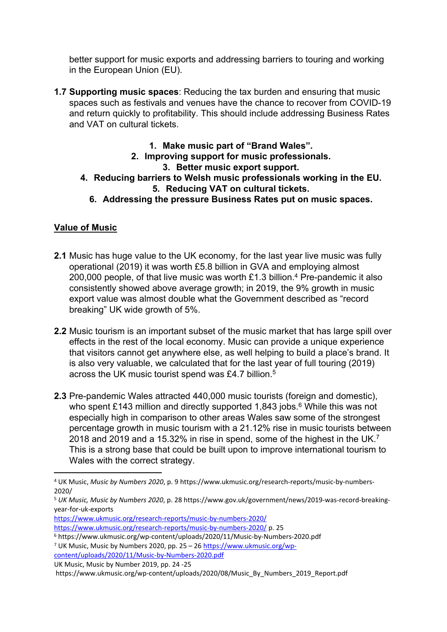better support for music exports and addressing barriers to touring and working in the European Union (EU).

- **1.7 Supporting music spaces**: Reducing the tax burden and ensuring that music spaces such as festivals and venues have the chance to recover from COVID-19 and return quickly to profitability. This should include addressing Business Rates and VAT on cultural tickets.
	- **1. Make music part of "Brand Wales".**
	- **2. Improving support for music professionals.**

## **3. Better music export support.**

- **4. Reducing barriers to Welsh music professionals working in the EU. 5. Reducing VAT on cultural tickets.**
	- **6. Addressing the pressure Business Rates put on music spaces.**

# **Value of Music**

- **2.1** Music has huge value to the UK economy, for the last year live music was fully operational (2019) it was worth £5.8 billion in GVA and employing almost 200,000 people, of that live music was worth £1.3 billion.<sup>4</sup> Pre-pandemic it also consistently showed above average growth; in 2019, the 9% growth in music export value was almost double what the Government described as "record breaking" UK wide growth of 5%.
- **2.2** Music tourism is an important subset of the music market that has large spill over effects in the rest of the local economy. Music can provide a unique experience that visitors cannot get anywhere else, as well helping to build a place's brand. It is also very valuable, we calculated that for the last year of full touring (2019) across the UK music tourist spend was £4.7 billion.<sup>5</sup>
- **2.3** Pre-pandemic Wales attracted 440,000 music tourists (foreign and domestic), who spent £143 million and directly supported 1,843 jobs.<sup>6</sup> While this was not especially high in comparison to other areas Wales saw some of the strongest percentage growth in music tourism with a 21.12% rise in music tourists between 2018 and 2019 and a 15.32% in rise in spend, some of the highest in the UK.<sup>7</sup> This is a strong base that could be built upon to improve international tourism to Wales with the correct strategy.

<https://www.ukmusic.org/research-reports/music-by-numbers-2020/> <https://www.ukmusic.org/research-reports/music-by-numbers-2020/> p. 25

UK Music, Music by Number 2019, pp. 24 -25

<sup>4</sup> UK Music, *Music by Numbers 2020*, p. 9 https://www.ukmusic.org/research-reports/music-by-numbers-2020/

<sup>5</sup> *UK Music, Music by Numbers 2020*, p. 28 https://www.gov.uk/government/news/2019-was-record-breakingyear-for-uk-exports

<sup>6</sup> https://www.ukmusic.org/wp-content/uploads/2020/11/Music-by-Numbers-2020.pdf

<sup>7</sup> UK Music, Music by Numbers 2020, pp. 25 – 26 [https://www.ukmusic.org/wp](https://www.ukmusic.org/wp-content/uploads/2020/11/Music-by-Numbers-2020.pdf)[content/uploads/2020/11/Music-by-Numbers-2020.pdf](https://www.ukmusic.org/wp-content/uploads/2020/11/Music-by-Numbers-2020.pdf)

https://www.ukmusic.org/wp-content/uploads/2020/08/Music\_By\_Numbers\_2019\_Report.pdf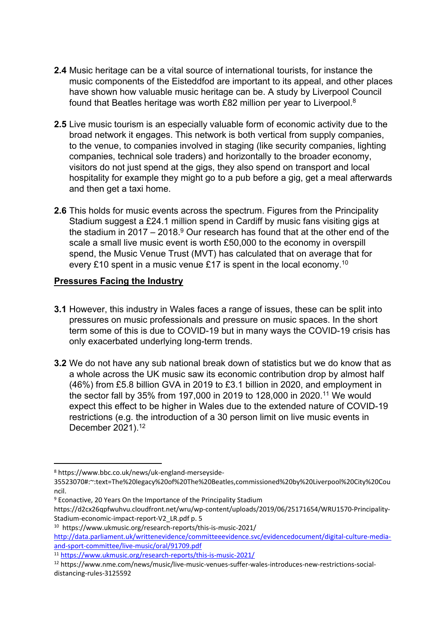- **2.4** Music heritage can be a vital source of international tourists, for instance the music components of the Eisteddfod are important to its appeal, and other places have shown how valuable music heritage can be. A study by Liverpool Council found that Beatles heritage was worth £82 million per year to Liverpool.<sup>8</sup>
- **2.5** Live music tourism is an especially valuable form of economic activity due to the broad network it engages. This network is both vertical from supply companies, to the venue, to companies involved in staging (like security companies, lighting companies, technical sole traders) and horizontally to the broader economy, visitors do not just spend at the gigs, they also spend on transport and local hospitality for example they might go to a pub before a gig, get a meal afterwards and then get a taxi home.
- **2.6** This holds for music events across the spectrum. Figures from the Principality Stadium suggest a £24.1 million spend in Cardiff by music fans visiting gigs at the stadium in 2017 – 2018.<sup>9</sup> Our research has found that at the other end of the scale a small live music event is worth £50,000 to the economy in overspill spend, the Music Venue Trust (MVT) has calculated that on average that for every £10 spent in a music venue £17 is spent in the local economy.<sup>10</sup>

#### **Pressures Facing the Industry**

- **3.1** However, this industry in Wales faces a range of issues, these can be split into pressures on music professionals and pressure on music spaces. In the short term some of this is due to COVID-19 but in many ways the COVID-19 crisis has only exacerbated underlying long-term trends.
- **3.2** We do not have any sub national break down of statistics but we do know that as a whole across the UK music saw its economic contribution drop by almost half (46%) from £5.8 billion GVA in 2019 to £3.1 billion in 2020, and employment in the sector fall by 35% from 197,000 in 2019 to 128,000 in 2020.<sup>11</sup> We would expect this effect to be higher in Wales due to the extended nature of COVID-19 restrictions (e.g. the introduction of a 30 person limit on live music events in December 2021).<sup>12</sup>

<sup>8</sup> https://www.bbc.co.uk/news/uk-england-merseyside-

<sup>35523070#:~:</sup>text=The%20legacy%20of%20The%20Beatles,commissioned%20by%20Liverpool%20City%20Cou ncil.

<sup>9</sup> Econactive, 20 Years On the Importance of the Principality Stadium

https://d2cx26qpfwuhvu.cloudfront.net/wru/wp-content/uploads/2019/06/25171654/WRU1570-Principality-Stadium-economic-impact-report-V2\_LR.pdf p. 5

<sup>10</sup> https://www.ukmusic.org/research-reports/this-is-music-2021/ [http://data.parliament.uk/writtenevidence/committeeevidence.svc/evidencedocument/digital-culture-media](http://data.parliament.uk/writtenevidence/committeeevidence.svc/evidencedocument/digital-culture-media-and-sport-committee/live-music/oral/91709.pdf)[and-sport-committee/live-music/oral/91709.pdf](http://data.parliament.uk/writtenevidence/committeeevidence.svc/evidencedocument/digital-culture-media-and-sport-committee/live-music/oral/91709.pdf)

<sup>11</sup> <https://www.ukmusic.org/research-reports/this-is-music-2021/>

<sup>12</sup> https://www.nme.com/news/music/live-music-venues-suffer-wales-introduces-new-restrictions-socialdistancing-rules-3125592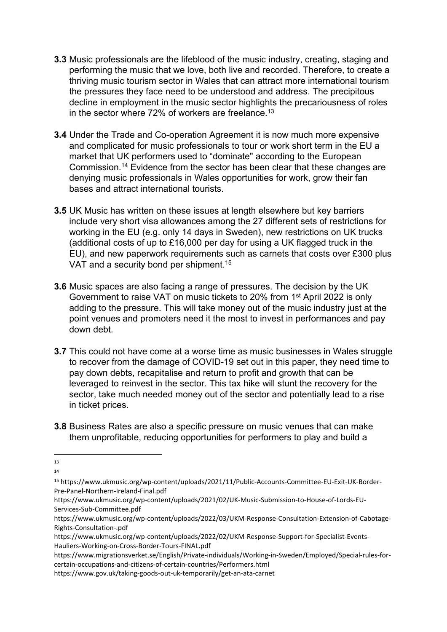- **3.3** Music professionals are the lifeblood of the music industry, creating, staging and performing the music that we love, both live and recorded. Therefore, to create a thriving music tourism sector in Wales that can attract more international tourism the pressures they face need to be understood and address. The precipitous decline in employment in the music sector highlights the precariousness of roles in the sector where 72% of workers are freelance.<sup>13</sup>
- **3.4** Under the Trade and Co-operation Agreement it is now much more expensive and complicated for music professionals to tour or work short term in the EU a market that UK performers used to "dominate" according to the European Commission.<sup>14</sup> Evidence from the sector has been clear that these changes are denying music professionals in Wales opportunities for work, grow their fan bases and attract international tourists.
- **3.5** UK Music has written on these issues at length elsewhere but key barriers include very short visa allowances among the 27 different sets of restrictions for working in the EU (e.g. only 14 days in Sweden), new restrictions on UK trucks (additional costs of up to £16,000 per day for using a UK flagged truck in the EU), and new paperwork requirements such as carnets that costs over £300 plus VAT and a security bond per shipment.<sup>15</sup>
- **3.6** Music spaces are also facing a range of pressures. The decision by the UK Government to raise VAT on music tickets to 20% from 1<sup>st</sup> April 2022 is only adding to the pressure. This will take money out of the music industry just at the point venues and promoters need it the most to invest in performances and pay down debt.
- **3.7** This could not have come at a worse time as music businesses in Wales struggle to recover from the damage of COVID-19 set out in this paper, they need time to pay down debts, recapitalise and return to profit and growth that can be leveraged to reinvest in the sector. This tax hike will stunt the recovery for the sector, take much needed money out of the sector and potentially lead to a rise in ticket prices.
- **3.8** Business Rates are also a specific pressure on music venues that can make them unprofitable, reducing opportunities for performers to play and build a

<sup>13</sup>

<sup>14</sup>

<sup>15</sup> https://www.ukmusic.org/wp-content/uploads/2021/11/Public-Accounts-Committee-EU-Exit-UK-Border-Pre-Panel-Northern-Ireland-Final.pdf

https://www.ukmusic.org/wp-content/uploads/2021/02/UK-Music-Submission-to-House-of-Lords-EU-Services-Sub-Committee.pdf

https://www.ukmusic.org/wp-content/uploads/2022/03/UKM-Response-Consultation-Extension-of-Cabotage-Rights-Consultation-.pdf

https://www.ukmusic.org/wp-content/uploads/2022/02/UKM-Response-Support-for-Specialist-Events-Hauliers-Working-on-Cross-Border-Tours-FINAL.pdf

https://www.migrationsverket.se/English/Private-individuals/Working-in-Sweden/Employed/Special-rules-forcertain-occupations-and-citizens-of-certain-countries/Performers.html

https://www.gov.uk/taking-goods-out-uk-temporarily/get-an-ata-carnet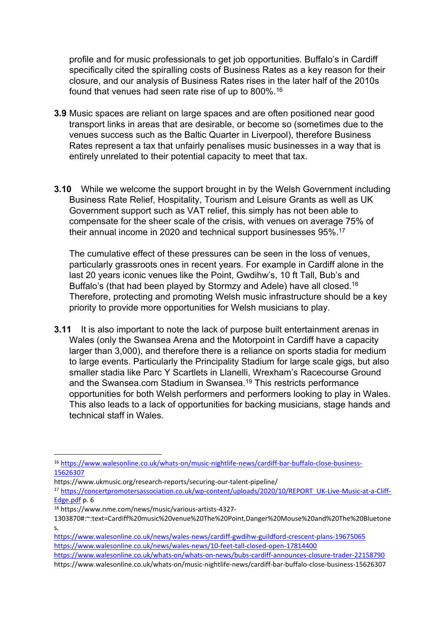profile and for music professionals to get job opportunities. Buffalo's in Cardiff specifically cited the spiralling costs of Business Rates as a key reason for their closure, and our analysis of Business Rates rises in the later half of the 2010s found that venues had seen rate rise of up to 800%.<sup>16</sup>

- **3.9** Music spaces are reliant on large spaces and are often positioned near good transport links in areas that are desirable, or become so (sometimes due to the venues success such as the Baltic Quarter in Liverpool), therefore Business Rates represent a tax that unfairly penalises music businesses in a way that is entirely unrelated to their potential capacity to meet that tax.
- **3.10** While we welcome the support brought in by the Welsh Government including Business Rate Relief, Hospitality, Tourism and Leisure Grants as well as UK Government support such as VAT relief, this simply has not been able to compensate for the sheer scale of the crisis, with venues on average 75% of their annual income in 2020 and technical support businesses 95%.<sup>17</sup>

The cumulative effect of these pressures can be seen in the loss of venues, particularly grassroots ones in recent years. For example in Cardiff alone in the last 20 years iconic venues like the Point, Gwdihw's, 10 ft Tall, Bub's and Buffalo's (that had been played by Stormzy and Adele) have all closed.<sup>18</sup> Therefore, protecting and promoting Welsh music infrastructure should be a key priority to provide more opportunities for Welsh musicians to play.

**3.11** It is also important to note the lack of purpose built entertainment arenas in Wales (only the Swansea Arena and the Motorpoint in Cardiff have a capacity larger than 3,000), and therefore there is a reliance on sports stadia for medium to large events. Particularly the Principality Stadium for large scale gigs, but also smaller stadia like Parc Y Scartlets in Llanelli, Wrexham's Racecourse Ground and the Swansea.com Stadium in Swansea.<sup>19</sup> This restricts performance opportunities for both Welsh performers and performers looking to play in Wales. This also leads to a lack of opportunities for backing musicians, stage hands and technical staff in Wales.

<sup>16</sup> [https://www.walesonline.co.uk/whats-on/music-nightlife-news/cardiff-bar-buffalo-close-business-](https://www.walesonline.co.uk/whats-on/music-nightlife-news/cardiff-bar-buffalo-close-business-15626307)[15626307](https://www.walesonline.co.uk/whats-on/music-nightlife-news/cardiff-bar-buffalo-close-business-15626307)

https://www.ukmusic.org/research-reports/securing-our-talent-pipeline/

<sup>17</sup> [https://concertpromotersassociation.co.uk/wp-content/uploads/2020/10/REPORT\\_UK-Live-Music-at-a-Cliff-](https://concertpromotersassociation.co.uk/wp-content/uploads/2020/10/REPORT_UK-Live-Music-at-a-Cliff-Edge.pdf)[Edge.pdf](https://concertpromotersassociation.co.uk/wp-content/uploads/2020/10/REPORT_UK-Live-Music-at-a-Cliff-Edge.pdf) p. 6

<sup>18</sup> https://www.nme.com/news/music/various-artists-4327-

<sup>1303870#:~:</sup>text=Cardiff%20music%20venue%20The%20Point,Danger%20Mouse%20and%20The%20Bluetone s.

<https://www.walesonline.co.uk/news/wales-news/cardiff-gwdihw-guildford-crescent-plans-19675065> <https://www.walesonline.co.uk/news/wales-news/10-feet-tall-closed-open-17814400>

<https://www.walesonline.co.uk/whats-on/whats-on-news/bubs-cardiff-announces-closure-trader-22158790> https://www.walesonline.co.uk/whats-on/music-nightlife-news/cardiff-bar-buffalo-close-business-15626307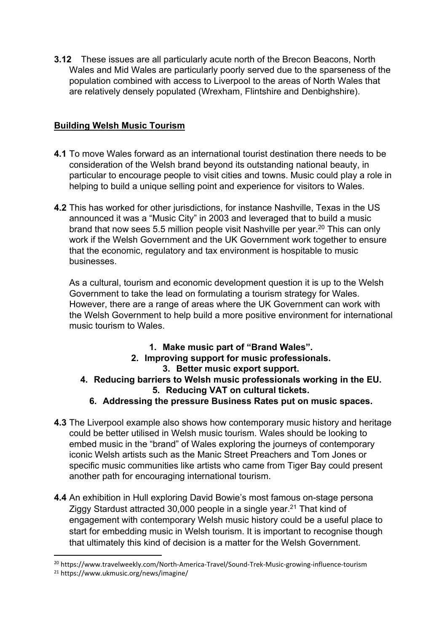**3.12** These issues are all particularly acute north of the Brecon Beacons, North Wales and Mid Wales are particularly poorly served due to the sparseness of the population combined with access to Liverpool to the areas of North Wales that are relatively densely populated (Wrexham, Flintshire and Denbighshire).

## **Building Welsh Music Tourism**

- **4.1** To move Wales forward as an international tourist destination there needs to be consideration of the Welsh brand beyond its outstanding national beauty, in particular to encourage people to visit cities and towns. Music could play a role in helping to build a unique selling point and experience for visitors to Wales.
- **4.2** This has worked for other jurisdictions, for instance Nashville, Texas in the US announced it was a "Music City" in 2003 and leveraged that to build a music brand that now sees 5.5 million people visit Nashville per year.<sup>20</sup> This can only work if the Welsh Government and the UK Government work together to ensure that the economic, regulatory and tax environment is hospitable to music businesses.

As a cultural, tourism and economic development question it is up to the Welsh Government to take the lead on formulating a tourism strategy for Wales. However, there are a range of areas where the UK Government can work with the Welsh Government to help build a more positive environment for international music tourism to Wales.

- **1. Make music part of "Brand Wales".**
- **2. Improving support for music professionals. 3. Better music export support.**
- **4. Reducing barriers to Welsh music professionals working in the EU. 5. Reducing VAT on cultural tickets.**
	- **6. Addressing the pressure Business Rates put on music spaces.**
- **4.3** The Liverpool example also shows how contemporary music history and heritage could be better utilised in Welsh music tourism. Wales should be looking to embed music in the "brand" of Wales exploring the journeys of contemporary iconic Welsh artists such as the Manic Street Preachers and Tom Jones or specific music communities like artists who came from Tiger Bay could present another path for encouraging international tourism.
- **4.4** An exhibition in Hull exploring David Bowie's most famous on-stage persona Ziggy Stardust attracted 30,000 people in a single year.<sup>21</sup> That kind of engagement with contemporary Welsh music history could be a useful place to start for embedding music in Welsh tourism. It is important to recognise though that ultimately this kind of decision is a matter for the Welsh Government.

<sup>20</sup> https://www.travelweekly.com/North-America-Travel/Sound-Trek-Music-growing-influence-tourism

<sup>21</sup> https://www.ukmusic.org/news/imagine/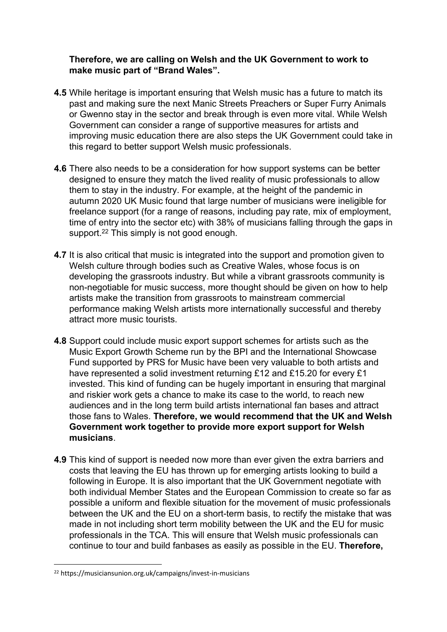#### **Therefore, we are calling on Welsh and the UK Government to work to make music part of "Brand Wales".**

- **4.5** While heritage is important ensuring that Welsh music has a future to match its past and making sure the next Manic Streets Preachers or Super Furry Animals or Gwenno stay in the sector and break through is even more vital. While Welsh Government can consider a range of supportive measures for artists and improving music education there are also steps the UK Government could take in this regard to better support Welsh music professionals.
- **4.6** There also needs to be a consideration for how support systems can be better designed to ensure they match the lived reality of music professionals to allow them to stay in the industry. For example, at the height of the pandemic in autumn 2020 UK Music found that large number of musicians were ineligible for freelance support (for a range of reasons, including pay rate, mix of employment, time of entry into the sector etc) with 38% of musicians falling through the gaps in support.<sup>22</sup> This simply is not good enough.
- **4.7** It is also critical that music is integrated into the support and promotion given to Welsh culture through bodies such as Creative Wales, whose focus is on developing the grassroots industry. But while a vibrant grassroots community is non-negotiable for music success, more thought should be given on how to help artists make the transition from grassroots to mainstream commercial performance making Welsh artists more internationally successful and thereby attract more music tourists.
- **4.8** Support could include music export support schemes for artists such as the Music Export Growth Scheme run by the BPI and the International Showcase Fund supported by PRS for Music have been very valuable to both artists and have represented a solid investment returning £12 and £15.20 for every £1 invested. This kind of funding can be hugely important in ensuring that marginal and riskier work gets a chance to make its case to the world, to reach new audiences and in the long term build artists international fan bases and attract those fans to Wales. **Therefore, we would recommend that the UK and Welsh Government work together to provide more export support for Welsh musicians**.
- **4.9** This kind of support is needed now more than ever given the extra barriers and costs that leaving the EU has thrown up for emerging artists looking to build a following in Europe. It is also important that the UK Government negotiate with both individual Member States and the European Commission to create so far as possible a uniform and flexible situation for the movement of music professionals between the UK and the EU on a short-term basis, to rectify the mistake that was made in not including short term mobility between the UK and the EU for music professionals in the TCA. This will ensure that Welsh music professionals can continue to tour and build fanbases as easily as possible in the EU. **Therefore,**

<sup>22</sup> https://musiciansunion.org.uk/campaigns/invest-in-musicians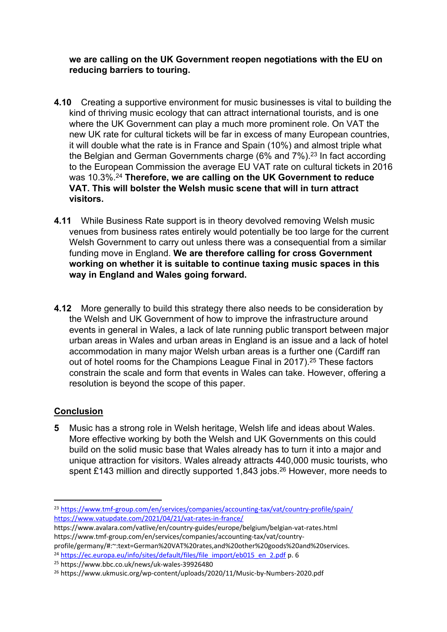**we are calling on the UK Government reopen negotiations with the EU on reducing barriers to touring.**

- **4.10** Creating a supportive environment for music businesses is vital to building the kind of thriving music ecology that can attract international tourists, and is one where the UK Government can play a much more prominent role. On VAT the new UK rate for cultural tickets will be far in excess of many European countries, it will double what the rate is in France and Spain (10%) and almost triple what the Belgian and German Governments charge (6% and  $7\%$ ).<sup>23</sup> In fact according to the European Commission the average EU VAT rate on cultural tickets in 2016 was 10.3%.<sup>24</sup> **Therefore, we are calling on the UK Government to reduce VAT. This will bolster the Welsh music scene that will in turn attract visitors.**
- **4.11** While Business Rate support is in theory devolved removing Welsh music venues from business rates entirely would potentially be too large for the current Welsh Government to carry out unless there was a consequential from a similar funding move in England. **We are therefore calling for cross Government working on whether it is suitable to continue taxing music spaces in this way in England and Wales going forward.**
- **4.12** More generally to build this strategy there also needs to be consideration by the Welsh and UK Government of how to improve the infrastructure around events in general in Wales, a lack of late running public transport between major urban areas in Wales and urban areas in England is an issue and a lack of hotel accommodation in many major Welsh urban areas is a further one (Cardiff ran out of hotel rooms for the Champions League Final in 2017).<sup>25</sup> These factors constrain the scale and form that events in Wales can take. However, offering a resolution is beyond the scope of this paper.

### **Conclusion**

**5** Music has a strong role in Welsh heritage, Welsh life and ideas about Wales. More effective working by both the Welsh and UK Governments on this could build on the solid music base that Wales already has to turn it into a major and unique attraction for visitors. Wales already attracts 440,000 music tourists, who spent £143 million and directly supported 1,843 jobs.<sup>26</sup> However, more needs to

profile/germany/#:~:text=German%20VAT%20rates,and%20other%20goods%20and%20services. <sup>24</sup> [https://ec.europa.eu/info/sites/default/files/file\\_import/eb015\\_en\\_2.pdf](https://ec.europa.eu/info/sites/default/files/file_import/eb015_en_2.pdf) p. 6

<sup>25</sup> https://www.bbc.co.uk/news/uk-wales-39926480

<sup>23</sup> <https://www.tmf-group.com/en/services/companies/accounting-tax/vat/country-profile/spain/> <https://www.vatupdate.com/2021/04/21/vat-rates-in-france/>

https://www.avalara.com/vatlive/en/country-guides/europe/belgium/belgian-vat-rates.html https://www.tmf-group.com/en/services/companies/accounting-tax/vat/country-

<sup>26</sup> https://www.ukmusic.org/wp-content/uploads/2020/11/Music-by-Numbers-2020.pdf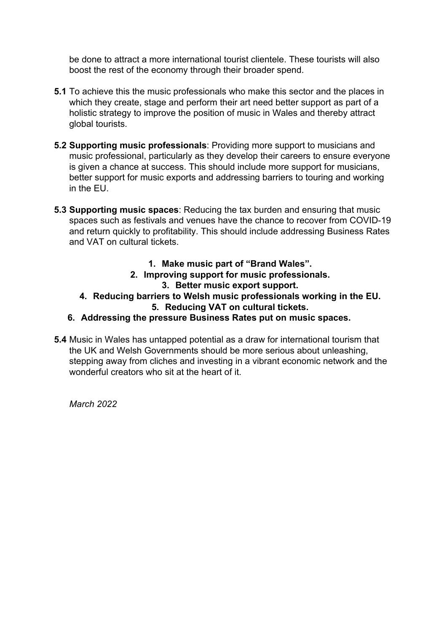be done to attract a more international tourist clientele. These tourists will also boost the rest of the economy through their broader spend.

- **5.1** To achieve this the music professionals who make this sector and the places in which they create, stage and perform their art need better support as part of a holistic strategy to improve the position of music in Wales and thereby attract global tourists.
- **5.2 Supporting music professionals**: Providing more support to musicians and music professional, particularly as they develop their careers to ensure everyone is given a chance at success. This should include more support for musicians, better support for music exports and addressing barriers to touring and working in the EU.
- **5.3 Supporting music spaces**: Reducing the tax burden and ensuring that music spaces such as festivals and venues have the chance to recover from COVID-19 and return quickly to profitability. This should include addressing Business Rates and VAT on cultural tickets.
	- **1. Make music part of "Brand Wales".**
	- **2. Improving support for music professionals.**
		- **3. Better music export support.**
	- **4. Reducing barriers to Welsh music professionals working in the EU. 5. Reducing VAT on cultural tickets.**
	- **6. Addressing the pressure Business Rates put on music spaces.**
- **5.4** Music in Wales has untapped potential as a draw for international tourism that the UK and Welsh Governments should be more serious about unleashing, stepping away from cliches and investing in a vibrant economic network and the wonderful creators who sit at the heart of it.

*March 2022*